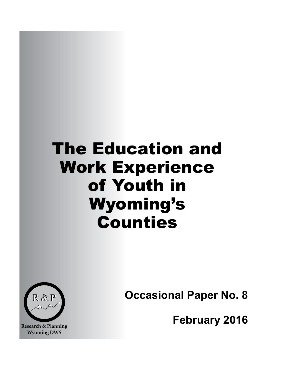# The Education and Work Experience of Youth in Wyoming's Counties



**Research & Planning Wyoming DWS**

**Occasional Paper No. 8**

**February 2016**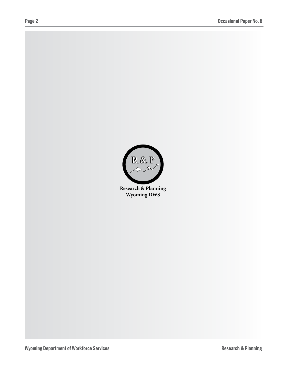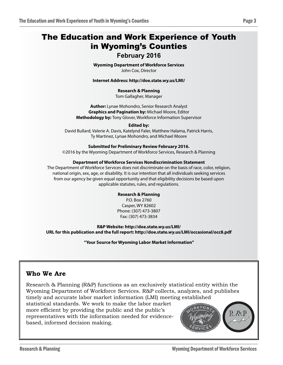# The Education and Work Experience of Youth in Wyoming's Counties

### **February 2016**

**Wyoming Department of Workforce Services** John Cox, Director

**Internet Address: http://doe.state.wy.us/LMI/**

#### **Research & Planning**

Tom Gallagher, Manager

**Author:** Lynae Mohondro, Senior Research Analyst **Graphics and Pagination by:** Michael Moore, Editor **Methodology by:** Tony Glover, Workforce Information Supervisor

#### **Edited by:**

David Bullard, Valerie A. Davis, Katelynd Faler, Matthew Halama, Patrick Harris, Ty Martinez, Lynae Mohondro, and Michael Moore

#### **Submitted for Preliminary Review February 2016.**

©2016 by the Wyoming Department of Workforce Services, Research & Planning

#### **Department of Workforce Services Nondiscrimination Statement**

The Department of Workforce Services does not discriminate on the basis of race, color, religion, national origin, sex, age, or disability. It is our intention that all individuals seeking services from our agency be given equal opportunity and that eligibility decisions be based upon applicable statutes, rules, and regulations.

#### **Research & Planning**

P.O. Box 2760 Casper, WY 82602 Phone: (307) 473-3807 Fax: (307) 473-3834

**R&P Website: http://doe.state.wy.us/LMI/ URL for this publication and the full report: http://doe.state.wy.us/LMI/occasional/occ8.pdf**

**"Your Source for Wyoming Labor Market Information"**

### **Who We Are**

Research & Planning (R&P) functions as an exclusively statistical entity within the Wyoming Department of Workforce Services. R&P collects, analyzes, and publishes timely and accurate labor market information (LMI) meeting established statistical standards. We work to make the labor market more efficient by providing the public and the public's representatives with the information needed for evidencebased, informed decision making.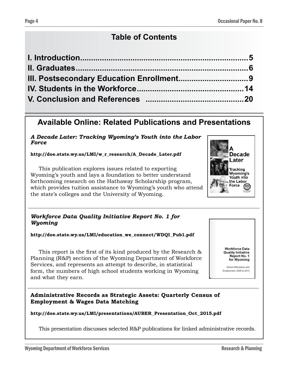# **Table of Contents**

## **Available Online: Related Publications and Presentations**

*A Decade Later: Tracking Wyoming's Youth into the Labor Force*

**http://doe.state.wy.us/LMI/w\_r\_research/A\_Decade\_Later.pdf**

This publication explores issues related to exporting Wyoming's youth and lays a foundation to better understand forthcoming research on the Hathaway Scholarship program, which provides tuition assistance to Wyoming's youth who attend the state's colleges and the University of Wyoming.



**http://doe.state.wy.us/LMI/education\_we\_connect/WDQI\_Pub1.pdf**

This report is the first of its kind produced by the Research & Planning (R&P) section of the Wyoming Department of Workforce Services, and represents an attempt to describe, in statistical form, the numbers of high school students working in Wyoming and what they earn.

**Administrative Records as Strategic Assets: Quarterly Census of Employment & Wages Data Matching**

#### **http://doe.state.wy.us/LMI/presentations/AUBER\_Presentation\_Oct\_2015.pdf**

This presentation discusses selected R&P publications for linked administrative records.



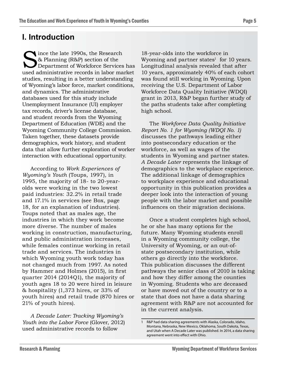### **I. Introduction**

ince the late 1990s, the Research & Planning (R&P) section of the Department of Workforce Services has used administrative records in labor market studies, resulting in a better understanding of Wyoming's labor force, market conditions, and dynamics. The administrative databases used for this study include Unemployment Insurance (UI) employer tax records, driver's license database, and student records from the Wyoming Department of Education (WDE) and the Wyoming Community College Commission. Taken together, these datasets provide demographics, work history, and student data that allow further exploration of worker interaction with educational opportunity.

According to *Work Experiences of Wyoming's Youth* (Toups, 1997), in 1995, the majority of 18- to 20-yearolds were working in the two lowest paid industries: 32.2% in retail trade and 17.1% in services (see Box, page 18, for an explanation of industries). Toups noted that as males age, the industries in which they work become more diverse. The number of males working in construction, manufacturing, and public administration increases, while females continue working in retail trade and services. The industries in which Wyoming youth work today has not changed much from 1997. As noted by Hammer and Holmes (2015), in first quarter 2014 (2014Q1), the majority of youth ages 18 to 20 were hired in leisure & hospitality (1,373 hires, or 33% of youth hires) and retail trade (870 hires or 21% of youth hires).

*A Decade Later: Tracking Wyoming's Youth into the Labor Force* (Glover, 2012) used administrative records to follow

18-year-olds into the workforce in Wyoming and partner states<sup>1</sup> for 10 years. Longitudinal analysis revealed that after 10 years, approximately 40% of each cohort was found still working in Wyoming. Upon receiving the U.S. Department of Labor Workforce Data Quality Initiative (WDQI) grant in 2013, R&P began further study of the paths students take after completing high school.

The *Workforce Data Quality Initiative Report No. 1 for Wyoming (WDQI No. 1)* discusses the pathways leading either into postsecondary education or the workforce, as well as wages of the students in Wyoming and partner states. *A Decade Later* represents the linkage of demographics to the workplace experience. The additional linkage of demographics to workplace experience and educational opportunity in this publication provides a deeper look into the interaction of young people with the labor market and possible influences on their migration decisions.

Once a student completes high school, he or she has many options for the future. Many Wyoming students enroll in a Wyoming community college, the University of Wyoming, or an out-ofstate postsecondary institution, while others go directly into the workforce. This publication discusses the different pathways the senior class of 2010 is taking and how they differ among the counties in Wyoming. Students who are deceased or have moved out of the country or to a state that does not have a data sharing agreement with R&P are not accounted for in the current analysis.

R&P had data sharing agreements with Alaska, Colorado, Idaho, Montana, Nebraska, New Mexico, Oklahoma, South Dakota, Texas, and Utah when A Decade Later was published. In 2014, a data sharing agreement went into effect with Ohio.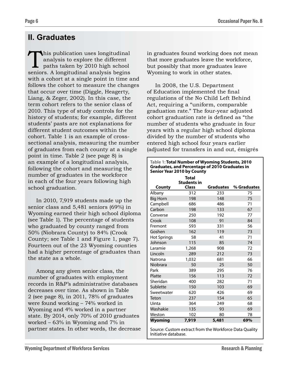# **II. Graduates**

This publication uses longitudinal<br>analysis to explore the different<br>paths taken by 2010 high school<br>seniors. A longitudinal analysis begins analysis to explore the different paths taken by 2010 high school seniors. A longitudinal analysis begins with a cohort at a single point in time and follows the cohort to measure the changes that occur over time (Diggle, Heagerty, Liang, & Zeger, 2002). In this case, the term cohort refers to the senior class of 2010. This type of study controls for the history of students; for example, different students' pasts are not explanations for different student outcomes within the cohort. Table 1 is an example of crosssectional analysis, measuring the number of graduates from each county at a single point in time. Table 2 (see page 8) is an example of a longitudinal analysis, following the cohort and measuring the number of graduates in the workforce in each of the four years following high school graduation.

In 2010, 7,919 students made up the senior class and 5,481 seniors (69%) in Wyoming earned their high school diploma (see Table 1). The percentage of students who graduated by county ranged from 50% (Niobrara County) to 84% (Crook County; see Table 1 and Figure 1, page 7). Fourteen out of the 23 Wyoming counties had a higher percentage of graduates than the state as a whole.

Among any given senior class, the number of graduates with employment records in R&P's administrative databases decreases over time. As shown in Table 2 (see page 8), in 2011, 78% of graduates were found working – 74% worked in Wyoming and 4% worked in a partner state. By 2014, only 70% of 2010 graduates worked – 63% in Wyoming and 7% in partner states. In other words, the decrease in graduates found working does not mean that more graduates leave the workforce, but possibly that more graduates leave Wyoming to work in other states.

In 2008, the U.S. Department of Education implemented the final regulations of the No Child Left Behind Act, requiring a "uniform, comparable graduation rate." The four-year adjusted cohort graduation rate is defined as "the number of students who graduate in four years with a regular high school diploma divided by the number of students who entered high school four years earlier (adjusted for transfers in and out, émigrés

| Table 1: Total Number of Wyoming Students, 2010<br><b>Graduates, and Percentage of 2010 Graduates in</b><br><b>Senior Year 2010 by County</b> |                                    |                  |             |  |  |  |  |  |  |  |  |
|-----------------------------------------------------------------------------------------------------------------------------------------------|------------------------------------|------------------|-------------|--|--|--|--|--|--|--|--|
|                                                                                                                                               | <b>Total</b><br><b>Students in</b> |                  |             |  |  |  |  |  |  |  |  |
| County                                                                                                                                        | <b>Class</b>                       | <b>Graduates</b> | % Graduates |  |  |  |  |  |  |  |  |
| Albany                                                                                                                                        | 312                                | 233              | 75          |  |  |  |  |  |  |  |  |
| <b>Big Horn</b>                                                                                                                               | 198                                | 148              | 75          |  |  |  |  |  |  |  |  |
| Campbell                                                                                                                                      | 686                                | 486              | 71          |  |  |  |  |  |  |  |  |
| Carbon                                                                                                                                        | 198                                | 133              | 67          |  |  |  |  |  |  |  |  |
| Converse                                                                                                                                      | 250                                | 192              | 77          |  |  |  |  |  |  |  |  |
| Crook                                                                                                                                         | 108                                | 91               | 84          |  |  |  |  |  |  |  |  |
| Fremont                                                                                                                                       | 593                                | 331              | 56          |  |  |  |  |  |  |  |  |
| Goshen                                                                                                                                        | 162                                | 119              | 73          |  |  |  |  |  |  |  |  |
| <b>Hot Springs</b>                                                                                                                            | 58                                 | 41               | 71          |  |  |  |  |  |  |  |  |
| Johnson                                                                                                                                       | 115                                | 85               | 74          |  |  |  |  |  |  |  |  |
| Laramie                                                                                                                                       | 1,268                              | 908              | 72          |  |  |  |  |  |  |  |  |
| Lincoln                                                                                                                                       | 289                                | 212              | 73          |  |  |  |  |  |  |  |  |
| Natrona                                                                                                                                       | 1.032                              | 681              | 66          |  |  |  |  |  |  |  |  |
| Niobrara                                                                                                                                      | 50                                 | 25               | 50          |  |  |  |  |  |  |  |  |
| Park                                                                                                                                          | 389                                | 295              | 76          |  |  |  |  |  |  |  |  |
| Platte                                                                                                                                        | 156                                | 113              | 72          |  |  |  |  |  |  |  |  |
| Sheridan                                                                                                                                      | 400                                | 282              | 71          |  |  |  |  |  |  |  |  |
| Sublette                                                                                                                                      | 150                                | 103              | 69          |  |  |  |  |  |  |  |  |
| Sweetwater                                                                                                                                    | 620                                | 426              | 69          |  |  |  |  |  |  |  |  |
| Teton                                                                                                                                         | 237                                | 154              | 65          |  |  |  |  |  |  |  |  |
| Uinta                                                                                                                                         | 364                                | 249              | 68          |  |  |  |  |  |  |  |  |
| Washakie                                                                                                                                      | 135                                | 93               | 69          |  |  |  |  |  |  |  |  |
| Weston                                                                                                                                        | 102                                | 80               | 78          |  |  |  |  |  |  |  |  |
| Wyoming                                                                                                                                       | 7,919                              | 5,481            | 69%         |  |  |  |  |  |  |  |  |
| <b>C</b><br>$\ldots$ $\sim$                                                                                                                   | المنتقل المسار                     | استكباب والملحلة | 0.111<br>D. |  |  |  |  |  |  |  |  |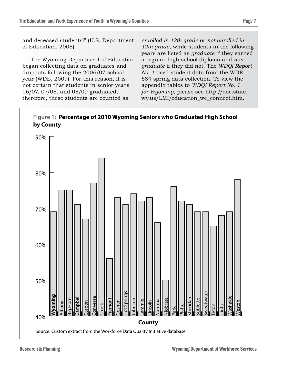and deceased students)" (U.S. Department of Education, 2008).

The Wyoming Department of Education began collecting data on graduates and dropouts following the 2006/07 school year (WDE, 2009). For this reason, it is not certain that students in senior years 06/07, 07/08, and 08/09 graduated; therefore, these students are counted as

*enrolled in 12th grade* or *not enrolled in 12th grade*, while students in the following years are listed as *graduate* if they earned a regular high school diploma and *nongraduate* if they did not. The *WDQI Report No. 1* used student data from the WDE 684 spring data collection. To view the appendix tables to *WDQI Report No. 1 for Wyoming*, please see http://doe.state. wy.us/LMI/education\_we\_connect.htm.

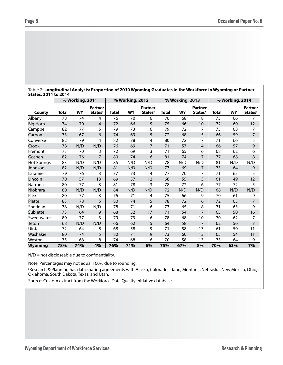| Table 2: Longitudinal Analysis: Proportion of 2010 Wyoming Graduates in the Workforce in Wyoming or Partner<br>States, 2011 to 2014 |       |                 |                                       |       |                 |                                       |       |                 |                                       |       |                 |                                       |
|-------------------------------------------------------------------------------------------------------------------------------------|-------|-----------------|---------------------------------------|-------|-----------------|---------------------------------------|-------|-----------------|---------------------------------------|-------|-----------------|---------------------------------------|
|                                                                                                                                     |       | % Working, 2011 |                                       |       | % Working, 2012 |                                       |       | % Working, 2013 |                                       |       | % Working, 2014 |                                       |
| County                                                                                                                              | Total | WY              | Partner<br><b>States</b> <sup>a</sup> | Total | WY              | Partner<br><b>States</b> <sup>a</sup> | Total | WY              | Partner<br><b>States</b> <sup>a</sup> | Total | WY              | Partner<br><b>States</b> <sup>a</sup> |
| Albany                                                                                                                              | 78    | 74              | 4                                     | 76    | 70              | 6                                     | 76    | 68              | 8                                     | 73    | 66              |                                       |
| Big Horn                                                                                                                            | 74    | 70              | $\overline{4}$                        | 72    | 66              | 5                                     | 75    | 66              | 10                                    | 72    | 60              | 12                                    |
| Campbell                                                                                                                            | 82    | 77              | 5                                     | 79    | 73              | 6                                     | 79    | 72              |                                       | 75    | 68              |                                       |
| Carbon                                                                                                                              | 73    | 67              | 6                                     | 74    | 69              | 5                                     | 72    | 68              | 5                                     | 66    | 59              |                                       |
| Converse                                                                                                                            | 82    | 79              | 4                                     | 82    | 78              | 4                                     | 80    | 72              | 7                                     | 71    | 66              | 5                                     |
| Crook                                                                                                                               | 78    | N/D             | N/D                                   | 76    | 69              | 7                                     | 71    | 57              | 14                                    | 66    | 57              | 9                                     |
| Fremont                                                                                                                             | 73    | 70              | 3                                     | 72    | 69              | 3                                     | 71    | 65              | 6                                     | 68    | 62              | 6                                     |
| Goshen                                                                                                                              | 82    | 76              | 7                                     | 80    | 74              | 6                                     | 81    | 74              | 7                                     | 77    | 68              | 8                                     |
| <b>Hot Springs</b>                                                                                                                  | 83    | N/D             | N/D                                   | 85    | N/D             | N/D                                   | 78    | N/D             | N/D                                   | 81    | N/D             | N/D                                   |
| Johnson                                                                                                                             | 82    | N/D             | N/D                                   | 81    | N/D             | N/D                                   | 77    | 69              | 7                                     | 73    | 64              | 9                                     |

Laramie 79 76 3 77 73 4 77 70 7 71 65 5 Lincoln 70 57 13 69 57 12 68 55 13 61 49 12 Natrona 80 77 3 81 78 3 78 72 6 77 72 5 Niobrara 80 N/D N/D 84 N/D N/D 72 N/D N/D 68 N/D N/D Park 80 77 3 76 71 4 75 66 9 70 61 9 Platte 83 78 5 80 74 5 78 72 6 72 65 7 Sheridan 78 N/D N/D 78 71 6 73 65 8 71 63 9 Sublette 73 64 9 68 52 17 71 54 17 65 50 16 Sweetwater 80 77 3 79 73 6 78 68 10 70 62 7 Teton 68 N/D N/D 66 62 5 64 58 7 62 56 7 Uinta 72 64 8 68 58 9 71 58 13 61 50 11 Washakie 80 74 5 | 80 71 9 | 73 60 13 | 65 54 11 Weston 75 68 8 74 68 6 70 58 13 73 64 9 **Wyoming 78% 74% 4% 76% 71% 6% 75% 67% 8% 70% 63% 7%**

 $N/D$  = not discloseable due to confidentiality.

Note: Percentages may not equal 100% due to rounding.

a Research & Planning has data sharing agreements with Alaska, Colorado, Idaho, Montana, Nebraska, New Mexico, Ohio, Oklahoma, South Dakota, Texas, and Utah.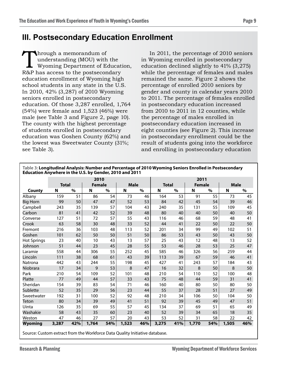## **III. Postsecondary Education Enrollment**

Through a memorandum of<br>understanding (MOU) with<br>Wyoming Department of Equation R&P has access to the postsecon understanding (MOU) with the Wyoming Department of Education, R&P has access to the postsecondary education enrollment of Wyoming high school students in any state in the U.S. In 2010, 42% (3,287) of 2010 Wyoming seniors enrolled in postsecondary education. Of those 3,287 enrolled, 1,764 (54%) were female and 1,523 (46%) were male (see Table 3 and Figure 2, page 10). The county with the highest percentage of students enrolled in postsecondary education was Goshen County (62%) and the lowest was Sweetwater County (31%; see Table 3).

In 2011, the percentage of 2010 seniors in Wyoming enrolled in postsecondary education declined slightly to 41% (3,275) while the percentage of females and males remained the same. Figure 2 shows the percentage of enrolled 2010 seniors by gender and county in calendar years 2010 to 2011. The percentage of females enrolled in postsecondary education increased from 2010 to 2011 in 12 counties, while the percentage of males enrolled in postsecondary education increased in eight counties (see Figure 2). This increase in postsecondary enrollment could be the result of students going into the workforce and enrolling in postsecondary education

|                    |              |      | 2010          |      |             |      |              |      | 2011          |      |             |      |  |  |  |
|--------------------|--------------|------|---------------|------|-------------|------|--------------|------|---------------|------|-------------|------|--|--|--|
|                    | <b>Total</b> |      | <b>Female</b> |      | <b>Male</b> |      | <b>Total</b> |      | <b>Female</b> |      | <b>Male</b> |      |  |  |  |
| County             | N            | $\%$ | N             | $\%$ | N           | $\%$ | N            | $\%$ | N             | $\%$ | N           | $\%$ |  |  |  |
| Albany             | 159          | 51   | 86            | 54   | 73          | 46   | 164          | 53   | 91            | 55   | 73          | 45   |  |  |  |
| <b>Big Horn</b>    | 99           | 50   | 47            | 47   | 52          | 53   | 84           | 42   | 45            | 54   | 39          | 46   |  |  |  |
| Campbell           | 243          | 35   | 139           | 57   | 104         | 43   | 240          | 35   | 131           | 55   | 109         | 45   |  |  |  |
| Carbon             | 81           | 41   | 42            | 52   | 39          | 48   | 80           | 40   | 40            | 50   | 40          | 50   |  |  |  |
| Converse           | 127          | 51   | 72            | 57   | 55          | 43   | 116          | 46   | 68            | 59   | 48          | 41   |  |  |  |
| Crook              | 63           | 58   | 30            | 48   | 33          | 52   | 44           | 41   | 22            | 50   | 22          | 50   |  |  |  |
| Fremont            | 216          | 36   | 103           | 48   | 113         | 52   | 201          | 34   | 99            | 49   | 102         | 51   |  |  |  |
| Goshen             | 101          | 62   | 50            | 50   | 51          | 50   | 86           | 53   | 43            | 50   | 43          | 50   |  |  |  |
| <b>Hot Springs</b> | 23           | 40   | 10            | 43   | 13          | 57   | 25           | 43   | 12            | 48   | 13          | 52   |  |  |  |
| Johnson            | 51           | 44   | 23            | 45   | 28          | 55   | 53           | 46   | 28            | 53   | 25          | 47   |  |  |  |
| Laramie            | 558          | 44   | 306           | 55   | 252         | 45   | 585          | 46   | 326           | 56   | 259         | 44   |  |  |  |
| Lincoln            | 111          | 38   | 68            | 61   | 43          | 39   | 113          | 39   | 67            | 59   | 46          | 41   |  |  |  |
| Natrona            | 442          | 43   | 244           | 55   | 198         | 45   | 427          | 41   | 243           | 57   | 184         | 43   |  |  |  |
| Niobrara           | 17           | 34   | 9             | 53   | 8           | 47   | 16           | 32   | 8             | 50   | 8           | 50   |  |  |  |
| Park               | 210          | 54   | 109           | 52   | 101         | 48   | 210          | 54   | 110           | 52   | 100         | 48   |  |  |  |
| Platte             | 77           | 49   | 44            | 57   | 33          | 43   | 75           | 48   | 44            | 59   | 31          | 41   |  |  |  |
| Sheridan           | 154          | 39   | 83            | 54   | 71          | 46   | 160          | 40   | 80            | 50   | 80          | 50   |  |  |  |
| Sublette           | 52           | 35   | 29            | 56   | 23          | 44   | 55           | 37   | 28            | 51   | 27          | 49   |  |  |  |
| Sweetwater         | 192          | 31   | 100           | 52   | 92          | 48   | 210          | 34   | 106           | 50   | 104         | 50   |  |  |  |
| Teton              | 80           | 34   | 39            | 49   | 41          | 51   | 92           | 39   | 45            | 49   | 47          | 51   |  |  |  |
| Uinta              | 126          | 35   | 69            | 55   | 57          | 45   | 134          | 37   | 69            | 51   | 65          | 49   |  |  |  |
| Washakie           | 58           | 43   | 35            | 60   | 23          | 40   | 52           | 39   | 34            | 65   | 18          | 35   |  |  |  |
| Weston             | 47           | 46   | 27            | 57   | 20          | 43   | 53           | 52   | 31            | 58   | 22          | 42   |  |  |  |
| <b>Wyoming</b>     | 3,287        | 42%  | 1,764         | 54%  | 1,523       | 46%  | 3,275        | 41%  | 1,770         | 54%  | 1,505       | 46%  |  |  |  |

**Table 3: Longitudinal Analysis: Number and Percentage of 2010 Wyoming Seniors Enrolled in Postsecondary Education Anywhere in the U.S. by Gender, 2010 and 2011**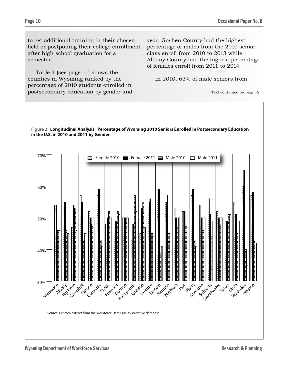to get additional training in their chosen field or postponing their college enrollment after high school graduation for a semester.

Table 4 (see page 11) shows the counties in Wyoming ranked by the percentage of 2010 students enrolled in postsecondary education by gender and year. Goshen County had the highest percentage of males from the 2010 senior class enroll from 2010 to 2013 while Albany County had the highest percentage of females enroll from 2011 to 2014.

In 2010, 63% of male seniors from

<sup>(</sup>Text continued on page 12)

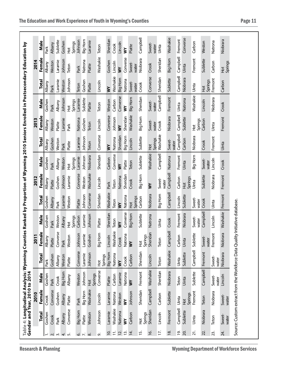|                           |                          | 2010                     |                          |                          | $\overline{201}$         |                          |                          | 2012                     |                          |                          | 2013                     |                          |                          | 2014                     |                          |
|---------------------------|--------------------------|--------------------------|--------------------------|--------------------------|--------------------------|--------------------------|--------------------------|--------------------------|--------------------------|--------------------------|--------------------------|--------------------------|--------------------------|--------------------------|--------------------------|
|                           | <b>Total</b>             | Female                   | Male                     | <b>Total</b>             | Female                   | Male                     | <b>Total</b>             | Female                   | Male                     | <b>Total</b>             | Female                   | Male                     | <b>Total</b>             | Female                   | Male                     |
|                           | Goshen                   | Crook                    | Goshen                   | Park                     | <b>Albany</b>            | Gosher                   | Goshen                   | Albany                   | Goshen                   | Albany                   | Albany                   | Goshen                   | Albany                   | Albany                   | Park                     |
| $ \sim$ $\sim$ $+$ $\sim$ | Crook                    | Converse                 | Park                     | Goshen                   | Platte                   | Park                     | <b>Albany</b>            | Platte                   | Park                     | Goshen                   | Weston                   | Park                     | Park                     | Weston                   | <b>Albany</b>            |
|                           | Park                     | Goshen                   | Crook                    | <b>Albany</b>            | Converse                 | Weston                   | Park                     | Goshen                   | <b>Albany</b>            | Weston                   | Platte                   | Albany                   | Laramie                  | Laramie                  | Sublette                 |
|                           | <b>Albany</b>            | <b>Albany</b>            | Big Horn                 | Weston                   | Park                     | <b>Albany</b>            | Laramie                  | Johnson                  | Weston                   | Park                     | Laramie                  | Johnson                  | Weston                   | Johnson                  | Goshen                   |
|                           | Converse                 | Platte                   | <b>Albany</b>            | Platte                   | Weston                   | Springs<br>$\frac{1}{2}$ | Weston                   | Laramie                  | Springs<br>$\frac{1}{2}$ | Platte                   | Park                     | Springs<br>$\frac{1}{2}$ | Johnson                  | Teton                    | Springs<br>$\frac{1}{2}$ |
|                           | Big Horn                 | Park                     | Weston                   | Converse                 | Johnson                  | Carbon                   | Platte                   | Converse                 | Laramie                  | Laramie                  | Natrona                  | Laramie                  | Teton                    | Park                     | Johnson                  |
| $\circ$ $\sim$ $\circ$    | Platte                   | Big Horn                 | Johnson                  | Laramie                  | Laramie                  | Laramie                  | Johnson                  | Weston                   | Johnson                  | Johnson                  | Goshen                   | Sublette                 | Goshen                   | Natrona                  | Big Horn                 |
|                           | Weston                   | Washakie                 | Springs<br>$\frac{1}{2}$ | Johnson                  | Goshen                   | Johnson                  | Converse                 | Washakie                 | Niobrara                 | Teton                    | Teton                    | Platte                   | Platte                   | Platte                   | Laramie                  |
| െ                         | Johnson                  | Lincoln                  | Converse                 | Springs<br>$\frac{1}{2}$ | σn<br>王<br>lg            | Platte                   | Sheridan                 | Lincoln                  | Sheridan                 | Converse                 | Lincoln                  | Teton                    | Lincoln                  | Washakie                 | Teton                    |
| 'o                        | Laramie                  | Laramie                  | Platte                   | <b>Big Horn</b>          | Lincoln                  | Sheridan                 | Washakie                 | Park                     | Carbon                   | $\geq$                   | Converse                 | Weston                   | $\geq$                   | Goshen                   | Sheridan                 |
| $\overline{1}$            | Washakie                 | Natrona                  | Carbon                   | Natrona                  | Washakie                 | Teton                    | Teton                    | Teton                    | Converse                 | Natrona                  | Johnson                  | Carbon                   | Washakie                 | Lincoln                  | Crook                    |
| <b>i</b><br>2.            | Natrona                  | Weston                   | Laramie                  | $\geq$                   | Crook                    | $\geq$                   | $\geq$                   | Natrona                  | $\geq$                   | Sheridan                 | $\geq$                   | Converse                 | Big Horn                 | $\geq$                   | Lincoln                  |
| 13.                       | ξ                        | $\geq$                   | Natrona                  | Crook                    | Natrona                  | Converse                 | Natrona                  | Sheridan                 | Platte                   | Big Horn                 | Sheridan                 | $\geq$                   | Natrona                  | Converse                 | ξ                        |
| $\overline{4}$            | Carbon                   | Johnson                  | $\geq$                   | Carbon                   | $\geq$                   | Big Horn                 | Springs<br>$\frac{1}{2}$ | Crook                    | Teton                    | Lincoln                  | Washakie                 | Big Horn                 | Sweet-<br>water          | Sweet-<br>water          | Platte                   |
| <u>بہ</u>                 | Springs<br>$\frac{1}{2}$ | Sheridan                 | Fremont                  | Sheridan                 | Springs<br>$\frac{1}{2}$ | Sublette                 | Carbon                   | Big Horn                 | Sublette                 | Sublette                 | Big Horn                 | Sheridan                 | Crook                    | Niobrara                 | Campbell                 |
| $\overline{6}$            | Sheridan                 | Campbell                 | Washakie                 | Lincoln                  | dan<br>Sheric            | Natrona                  | Niobrara                 | $\geq$                   | Washakie                 | Springs<br>$\frac{1}{2}$ | Sweet-<br>water          | Sweet-<br>water          | Converse                 | Crook                    | Sweet-<br>water          |
| 17.                       | Lincoln                  | Carbon                   | Sheridan                 | Teton                    | Teton                    | Uinta                    | Big Horn                 | Sweet-<br>water          | Campbell                 | Washakie                 | Crook                    | Campbell                 | Sheridan                 | Sheridan                 | Uinta                    |
| $\frac{8}{16}$            | Fremont                  | Sublette                 | Niobrara                 | Washakie                 | Campbell                 | Crook                    | Campbell                 | Campbell                 | Natrona                  | Sweet-<br>water          | Niobrara                 | Fremont                  | Sublette                 | <b>Big Horn</b>          | Washakie                 |
| <u>َم</u>                 | Campbell                 | Uinta                    | Teton                    | Uinta                    | Carbon                   | Fremont                  | Lincoln                  | Carbon                   | Fremont                  | Campbell                 | Campbell                 | Uinta                    | Campbell                 | Campbell                 | Fremont                  |
| 20.                       | Sublette                 | Springs<br>$\frac{1}{2}$ | Uinta                    | Sublette                 | Uinta                    | Niobrara                 | Sublette                 | Springs<br>$\frac{1}{2}$ | Uinta                    | Carbon                   | Sublette                 | Natrona                  | Niobrara                 | Uinta                    | Converse                 |
| 21.                       | Uinta                    | Fremont                  | Sublette                 | Campbell                 | Sublette                 | Sweet-<br>water          | Sweet-<br>water          | Uinta                    | Big Horn                 | Niobrara                 | Springs<br>$\frac{1}{2}$ | Washakie                 | Uinta                    | Fremont                  | Carbon                   |
| 22.                       | Niobrara                 | Teton                    | Campbell                 | Fremont                  | Sweet-<br>water          | Campbell                 | Crook                    | Sublette                 | Sweet-<br>water          | Crook                    | Carbon                   | Lincoln                  | Springs<br>$\frac{1}{2}$ | Sublette                 | Weston                   |
| 23.                       | Teton                    | Niobrara                 | Sweet-<br>water          | Sweet-<br>water          | Fremont                  | Lincoln                  | Uinta                    | Niobrara                 | Lincoln                  | Fremont                  | Uinta                    | Niobrara                 | Fremont                  | Carbon                   | Natrona                  |
| 24.                       | Sweet-<br>water          | Sweet-<br>water          | Lincoln                  | Niobrara                 | Niobrara                 | Washakie                 | Fremont                  | Fremont                  | Crook                    | Uinta                    | Fremont                  | Crook                    | Carbon                   | Springs<br>$\frac{1}{2}$ | Niobrara                 |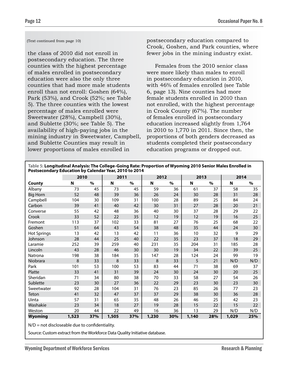#### (Text continued from page 10)

the class of 2010 did not enroll in postsecondary education. The three counties with the highest percentage of males enrolled in postsecondary education were also the only three counties that had more male students enroll than not enroll: Goshen (64%), Park (53%), and Crook (52%; see Table 5). The three counties with the lowest percentage of males enrolled were Sweetwater (28%), Campbell (30%), and Sublette (30%; see Table 5). The availability of high-paying jobs in the mining industry in Sweetwater, Campbell, and Sublette Counties may result in lower proportions of males enrolled in

postsecondary education compared to Crook, Goshen, and Park counties, where fewer jobs in the mining industry exist.

Females from the 2010 senior class were more likely than males to enroll in postsecondary education in 2010, with 46% of females enrolled (see Table 6, page 13). Nine counties had more female students enrolled in 2010 than not enrolled, with the highest percentage in Crook County (67%). The number of females enrolled in postsecondary education increased slightly from 1,764 in 2010 to 1,770 in 2011. Since then, the proportions of both genders decreased as students completed their postsecondary education programs or dropped out.

| Table 5: Longitudinal Analysis: The College-Going Rate: Proportion of Wyoming 2010 Senior Males Enrolled in |  |
|-------------------------------------------------------------------------------------------------------------|--|
| Postsecondary Education by Calendar Year, 2010 to 2014                                                      |  |

|                    | 2010  |      | 2011  |      | 2012                      |      | 2013  |      | 2014  |     |
|--------------------|-------|------|-------|------|---------------------------|------|-------|------|-------|-----|
| County             | N     | $\%$ | N     | $\%$ | $\boldsymbol{\mathsf{N}}$ | $\%$ | N     | $\%$ | N     | %   |
| Albany             | 73    | 45   | 73    | 45   | 59                        | 36   | 61    | 37   | 58    | 35  |
| <b>Big Horn</b>    | 52    | 48   | 39    | 36   | 26                        | 24   | 30    | 28   | 31    | 28  |
| Campbell           | 104   | 30   | 109   | 31   | 100                       | 28   | 89    | 25   | 84    | 24  |
| Carbon             | 39    | 41   | 40    | 42   | 30                        | 31   | 27    | 28   | 20    | 21  |
| Converse           | 55    | 42   | 48    | 36   | 40                        | 30   | 37    | 28   | 29    | 22  |
| Crook              | 33    | 52   | 22    | 35   | 12                        | 19   | 12    | 19   | 16    | 25  |
| Fremont            | 113   | 37   | 102   | 33   | 81                        | 27   | 76    | 25   | 68    | 22  |
| Goshen             | 51    | 64   | 43    | 54   | 38                        | 48   | 35    | 44   | 24    | 30  |
| <b>Hot Springs</b> | 13    | 42   | 13    | 42   | 11                        | 36   | 10    | 32   | 9     | 29  |
| Johnson            | 28    | 44   | 25    | 40   | 22                        | 35   | 23    | 37   | 18    | 29  |
| Laramie            | 252   | 39   | 259   | 40   | 231                       | 35   | 204   | 31   | 185   | 28  |
| Lincoln            | 43    | 28   | 46    | 30   | 30                        | 19   | 34    | 22   | 39    | 25  |
| Natrona            | 198   | 38   | 184   | 35   | 147                       | 28   | 124   | 24   | 99    | 19  |
| Niobrara           | 8     | 33   | 8     | 33   | 8                         | 33   | 5     | 21   | N/D   | N/D |
| Park               | 101   | 53   | 100   | 53   | 83                        | 44   | 71    | 38   | 69    | 37  |
| Platte             | 33    | 41   | 31    | 39   | 24                        | 30   | 24    | 30   | 20    | 25  |
| Sheridan           | 71    | 34   | 80    | 38   | 70                        | 33   | 58    | 27   | 54    | 26  |
| Sublette           | 23    | 30   | 27    | 36   | 22                        | 29   | 23    | 30   | 23    | 30  |
| Sweetwater         | 92    | 28   | 104   | 31   | 76                        | 23   | 85    | 26   | 77    | 23  |
| Teton              | 41    | 32   | 47    | 37   | 37                        | 29   | 38    | 30   | 36    | 28  |
| Uinta              | 57    | 31   | 65    | 35   | 48                        | 26   | 46    | 25   | 42    | 23  |
| Washakie           | 23    | 34   | 18    | 27   | 19                        | 28   | 15    | 22   | 15    | 22  |
| Weston             | 20    | 44   | 22    | 49   | 16                        | 36   | 13    | 29   | N/D   | N/D |
| <b>Wyoming</b>     | 1,523 | 37%  | 1,505 | 37%  | 1,230                     | 30%  | 1,140 | 28%  | 1,029 | 25% |

 $N/D$  = not discloseable due to confidentiality.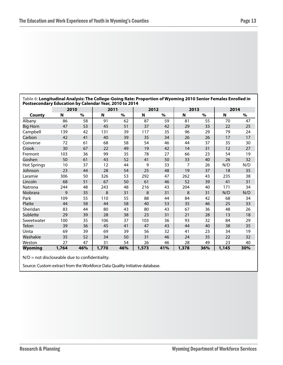| Postsecondary Education by Calendar Year, 2010 to 2014 |       |               |       |      |       |      |                |      |       |      |  |  |  |
|--------------------------------------------------------|-------|---------------|-------|------|-------|------|----------------|------|-------|------|--|--|--|
|                                                        | 2010  |               | 2011  |      | 2012  |      | 2013           |      | 2014  |      |  |  |  |
| County                                                 | N     | $\frac{0}{0}$ | N     | $\%$ | N     | $\%$ | N              | $\%$ | N     | $\%$ |  |  |  |
| Albany                                                 | 86    | 58            | 91    | 62   | 87    | 59   | 81             | 55   | 70    | 47   |  |  |  |
| <b>Big Horn</b>                                        | 47    | 53            | 45    | 51   | 37    | 42   | 29             | 33   | 22    | 25   |  |  |  |
| Campbell                                               | 139   | 42            | 131   | 39   | 117   | 35   | 96             | 29   | 79    | 24   |  |  |  |
| Carbon                                                 | 42    | 41            | 40    | 39   | 35    | 34   | 26             | 26   | 17    | 17   |  |  |  |
| Converse                                               | 72    | 61            | 68    | 58   | 54    | 46   | 44             | 37   | 35    | 30   |  |  |  |
| Crook                                                  | 30    | 67            | 22    | 49   | 19    | 42   | 14             | 31   | 12    | 27   |  |  |  |
| Fremont                                                | 103   | 36            | 99    | 35   | 78    | 27   | 66             | 23   | 54    | 19   |  |  |  |
| Goshen                                                 | 50    | 61            | 43    | 52   | 41    | 50   | 33             | 40   | 26    | 32   |  |  |  |
| <b>Hot Springs</b>                                     | 10    | 37            | 12    | 44   | 9     | 33   | $\overline{7}$ | 26   | N/D   | N/D  |  |  |  |
| Johnson                                                | 23    | 44            | 28    | 54   | 25    | 48   | 19             | 37   | 18    | 35   |  |  |  |
| Laramie                                                | 306   | 50            | 326   | 53   | 292   | 47   | 262            | 43   | 235   | 38   |  |  |  |
| Lincoln                                                | 68    | 51            | 67    | 50   | 61    | 46   | 52             | 39   | 41    | 31   |  |  |  |
| Natrona                                                | 244   | 48            | 243   | 48   | 216   | 43   | 204            | 40   | 171   | 34   |  |  |  |
| Niobrara                                               | 9     | 35            | 8     | 31   | 8     | 31   | 8              | 31   | N/D   | N/D  |  |  |  |
| Park                                                   | 109   | 55            | 110   | 55   | 88    | 44   | 84             | 42   | 68    | 34   |  |  |  |
| Platte                                                 | 44    | 58            | 44    | 58   | 40    | 53   | 35             | 46   | 25    | 33   |  |  |  |
| Sheridan                                               | 83    | 44            | 80    | 43   | 80    | 43   | 67             | 36   | 48    | 26   |  |  |  |
| Sublette                                               | 29    | 39            | 28    | 38   | 23    | 31   | 21             | 28   | 13    | 18   |  |  |  |
| Sweetwater                                             | 100   | 35            | 106   | 37   | 103   | 36   | 93             | 32   | 84    | 29   |  |  |  |
| <b>Teton</b>                                           | 39    | 36            | 45    | 41   | 47    | 43   | 44             | 40   | 38    | 35   |  |  |  |
| Uinta                                                  | 69    | 39            | 69    | 39   | 56    | 32   | 41             | 23   | 34    | 19   |  |  |  |
| Washakie                                               | 35    | 52            | 34    | 50   | 31    | 46   | 24             | 35   | 22    | 32   |  |  |  |
| Weston                                                 | 27    | 47            | 31    | 54   | 26    | 46   | 28             | 49   | 23    | 40   |  |  |  |
| Wyoming                                                | 1,764 | 46%           | 1,770 | 46%  | 1,573 | 41%  | 1,378          | 36%  | 1,145 | 30%  |  |  |  |

**Table 6: Longitudinal Analysis: The College-Going Rate: Proportion of Wyoming 2010 Senior Females Enrolled in Postsecondary Education by Calendar Year, 2010 to 2014**

N/D = not discloseable due to confidentiality.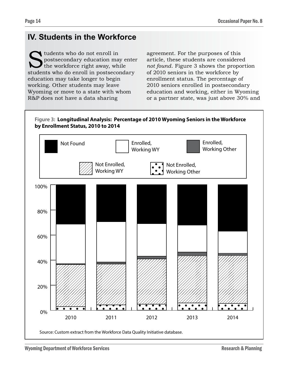# **IV. Students in the Workforce**

Sudents who do not enroll in<br>postsecondary education may<br>the workforce right away, wh<br>students who do enroll in postsecol postsecondary education may enter the workforce right away, while students who do enroll in postsecondary education may take longer to begin working. Other students may leave Wyoming or move to a state with whom R&P does not have a data sharing

agreement. For the purposes of this article, these students are considered *not found*. Figure 3 shows the proportion of 2010 seniors in the workforce by enrollment status. The percentage of 2010 seniors enrolled in postsecondary education and working, either in Wyoming or a partner state, was just above 30% and

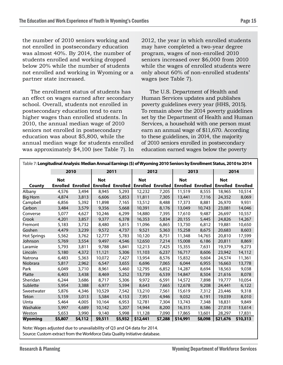the number of 2010 seniors working and not enrolled in postsecondary education was almost 40%. By 2014, the number of students enrolled and working dropped below 20% while the number of students not enrolled and working in Wyoming or a partner state increased.

The enrollment status of students has an effect on wages earned after secondary school. Overall, students not enrolled in postsecondary education tend to earn higher wages than enrolled students. In 2010, the annual median wage of 2010 seniors not enrolled in postsecondary education was about \$5,800, while the annual median wage for students enrolled was approximately \$4,100 (see Table 7). In

2012, the year in which enrolled students may have completed a two-year degree program, wages of non-enrolled 2010 seniors increased over \$6,000 from 2010 while the wages of enrolled students were only about 60% of non-enrolled students' wages (see Table 7).

The U.S. Department of Health and Human Services updates and publishes poverty guidelines every year (HHS, 2015). To remain above the 2014 poverty guidelines set by the Department of Health and Human Services, a household with one person must earn an annual wage of \$11,670. According to these guidelines, in 2014, the majority of 2010 seniors enrolled in postsecondary education earned wages below the poverty

| Table 7: Longitudinal Analysis: Median Annual Earnings (\$) of Wyoming 2010 Seniors by Enrollment Status, 2010 to 2014 |                 |         |            |                                                     |            |         |            |                                            |            |          |  |  |  |
|------------------------------------------------------------------------------------------------------------------------|-----------------|---------|------------|-----------------------------------------------------|------------|---------|------------|--------------------------------------------|------------|----------|--|--|--|
|                                                                                                                        |                 | 2010    | 2011       |                                                     |            | 2012    |            | 2013                                       |            | 2014     |  |  |  |
|                                                                                                                        | <b>Not</b>      |         | <b>Not</b> |                                                     | <b>Not</b> |         | <b>Not</b> |                                            | <b>Not</b> |          |  |  |  |
| County                                                                                                                 | <b>Enrolled</b> |         |            | <b>Enrolled Enrolled Enrolled Enrolled Enrolled</b> |            |         |            | <b>Enrolled Enrolled Enrolled Enrolled</b> |            |          |  |  |  |
| Albany                                                                                                                 | 4,576           | 3,494   | 8,945      | 5,293                                               | 12,232     | 7,205   | 11,519     | 8,555                                      | 18,965     | 10,514   |  |  |  |
| Big Horn                                                                                                               | 4,874           | 3,813   | 6,606      | 5,853                                               | 11,811     | 7,305   | 13,441     | 7,116                                      | 24,352     | 8,069    |  |  |  |
| Campbell                                                                                                               | 6,856           | 5,392   | 11,898     | 7,165                                               | 13,512     | 8,488   | 17,373     | 8,881                                      | 26,970     | 9,931    |  |  |  |
| Carbon                                                                                                                 | 3,484           | 3,579   | 9,356      | 5,668                                               | 10,391     | 8,176   | 13,049     | 10,743                                     | 23,081     | 14,046   |  |  |  |
| Converse                                                                                                               | 5,077           | 4,627   | 10,246     | 6,299                                               | 14,880     | 7,395   | 17,610     | 9,487                                      | 26,697     | 10,557   |  |  |  |
| Crook                                                                                                                  | 4,201           | 3,857   | 9,377      | 6,378                                               | 16,353     | 5,834   | 20,155     | 5,445                                      | 24,826     | 14,267   |  |  |  |
| Fremont                                                                                                                | 5,183           | 3,732   | 8,480      | 5,815                                               | 11,096     | 6,865   | 13,730     | 6,812                                      | 19,881     | 10,650   |  |  |  |
| Goshen                                                                                                                 | 4,479           | 3,239   | 9,572      | 4,737                                               | 9,521      | 5,363   | 15,258     | 8,675                                      | 20,683     | 8,603    |  |  |  |
| Hot Springs                                                                                                            | 5,562           | 3,762   | 12,777     | 5,783                                               | 10,120     | 8,751   | 11,348     | 14,765                                     | 20,810     | 17,599   |  |  |  |
| Johnson                                                                                                                | 5,769           | 3,554   | 9,497      | 4,546                                               | 12,650     | 7,214   | 15,008     | 6,186                                      | 20,811     | 8,869    |  |  |  |
| Laramie                                                                                                                | 5,793           | 3,811   | 9,788      | 5,841                                               | 12,213     | 7,425   | 15,355     | 7,631                                      | 19,379     | 9,273    |  |  |  |
| Lincoln                                                                                                                | 5,180           | 4,372   | 11,121     | 5,306                                               | 11,103     | 6,237   | 16,717     | 8,606                                      | 23,942     | 14,112   |  |  |  |
| Natrona                                                                                                                | 6,483           | 5,363   | 10,072     | 7,427                                               | 13,954     | 8,576   | 15,832     | 9,604                                      | 24,574     | 11,361   |  |  |  |
| Niobrara                                                                                                               | 5,817           | 2,962   | 6,547      | 3,655                                               | 6,696      | 7,065   | 6,044      | 6,955                                      | 16,663     | 13,778   |  |  |  |
| Park                                                                                                                   | 6,049           | 3,710   | 8,961      | 5,460                                               | 12,795     | 6,852   | 14,287     | 8,694                                      | 18,563     | 9,038    |  |  |  |
| Platte                                                                                                                 | 6,403           | 3,438   | 8,469      | 5,252                                               | 13,739     | 6,539   | 14,847     | 8,504                                      | 21,616     | 8,078    |  |  |  |
| Sheridan                                                                                                               | 6,244           | 3,686   | 8,717      | 5,306                                               | 9,972      | 6,591   | 14,572     | 7,898                                      | 19,777     | 10,054   |  |  |  |
| Sublette                                                                                                               | 5,954           | 3,388   | 6,977      | 5,594                                               | 8,643      | 7,665   | 12,678     | 9,208                                      | 24,441     | 6,122    |  |  |  |
| Sweetwater                                                                                                             | 5,876           | 4,346   | 10,529     | 7,542                                               | 13,210     | 7,561   | 15,619     | 7,312                                      | 23,446     | 9,318    |  |  |  |
| <b>Teton</b>                                                                                                           | 5,159           | 3,013   | 5,584      | 4,153                                               | 7,951      | 4,946   | 9,032      | 6,191                                      | 19,039     | 8,010    |  |  |  |
| Uinta                                                                                                                  | 5,464           | 4,005   | 10,164     | 6,953                                               | 12,781     | 7,304   | 13,743     | 7,348                                      | 18,831     | 9,849    |  |  |  |
| Washakie                                                                                                               | 5,997           | 4,689   | 10,142     | 5,207                                               | 14,944     | 8,200   | 16,315     | 8,586                                      | 27,018     | 13,614   |  |  |  |
| Weston                                                                                                                 | 5,653           | 3,990   | 9,140      | 5,998                                               | 11,128     | 7,090   | 17,865     | 13,601                                     | 28,297     | 17,831   |  |  |  |
| Wyoming                                                                                                                | \$5,807         | \$4,112 | \$9,511    | \$5,932                                             | \$12,441   | \$7,288 | \$14,991   | \$8,098                                    | \$21,676   | \$10,313 |  |  |  |

Note: Wages adjusted due to unavailability of Q3 and Q4 data for 2014. Source: Custom extract from the Workforce Data Quality Initiative database.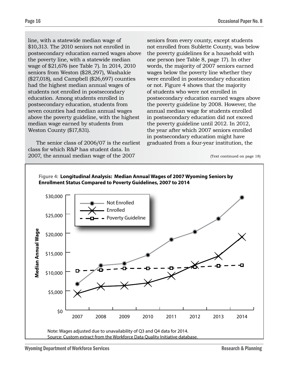line, with a statewide median wage of \$10,313. The 2010 seniors not enrolled in postsecondary education earned wages above the poverty line, with a statewide median wage of \$21,676 (see Table 7). In 2014, 2010 seniors from Weston (\$28,297), Washakie (\$27,018), and Campbell (\$26,697) counties had the highest median annual wages of students not enrolled in postsecondary education. Among students enrolled in postsecondary education, students from seven counties had median annual wages above the poverty guideline, with the highest median wage earned by students from Weston County (\$17,831).

The senior class of 2006/07 is the earliest class for which R&P has student data. In 2007, the annual median wage of the 2007

seniors from every county, except students not enrolled from Sublette County, was below the poverty guidelines for a household with one person (see Table 8, page 17). In other words, the majority of 2007 seniors earned wages below the poverty line whether they were enrolled in postsecondary education or not. Figure 4 shows that the majority of students who were not enrolled in postsecondary education earned wages above the poverty guideline by 2008. However, the annual median wage for students enrolled in postsecondary education did not exceed the poverty guideline until 2012. In 2012, the year after which 2007 seniors enrolled in postsecondary education might have graduated from a four-year institution, the

<sup>(</sup>Text continued on page 18)

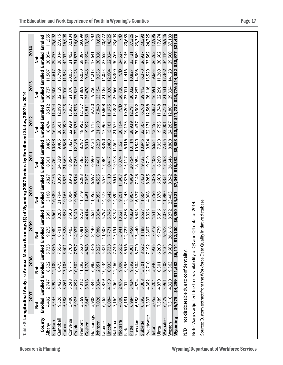|                                                                                                                        |      |               | Enrolled                 | 11,555        | 25,092   | 27,615   | 16,998 | 32,104   | 16,062 | 29,099  | 19,560 | $\sum_{i=1}^{n}$ | 10,659  | 20,472  | 14,525        | 23,603  | Q        | 20,685 | 37,326  | 23,301   | 23,590   | 24,725     | 12,996 | 17,874 | 56,946   | $\frac{37,183}{521,470}$ |                   |                                                 |                                                                        |                                                                             |  |  |  |  |
|------------------------------------------------------------------------------------------------------------------------|------|---------------|--------------------------|---------------|----------|----------|--------|----------|--------|---------|--------|------------------|---------|---------|---------------|---------|----------|--------|---------|----------|----------|------------|--------|--------|----------|--------------------------|-------------------|-------------------------------------------------|------------------------------------------------------------------------|-----------------------------------------------------------------------------|--|--|--|--|
|                                                                                                                        | 2014 | š             | Enrolled                 | 30,894        | 29,253   | 38,014   | 44,034 | 31,453   | 31,873 | 28,097  | 23,654 | 17,641           | 30,826  | 27,652  | 22,824        | 30,763  | 34,627   | 29,145 | 33,131  | 27,889   | 36,937   | 33,562     | 26,262 | 30,602 | 34,414   | 29,500                   | \$30,977          |                                                 |                                                                        |                                                                             |  |  |  |  |
|                                                                                                                        |      |               |                          | 11,507        | 12,617   | 15,799   | 11,952 | 20,053   | 19,128 | 16,050  | 9,646  | 14,213           | 9,936   | 14,053  | 12,604        | 18,300  | Q        | 14,416 | 10,827  | 14,906   | 6,270    | 13,520     | 9,665  | 11,260 | 17,362   | 14, 123                  |                   |                                                 |                                                                        |                                                                             |  |  |  |  |
|                                                                                                                        | 2013 | š             | <b>Enrolled Enrolled</b> | 20,737        | 19,506   | 32,129   | 32,010 | 21,370   | 27,815 | 21,869  | 25,478 | 9,750            | 23,154  | 21,185  | 16,038        | 25,666  | 26,738   | 23,011 | 30,032  | 25,257   | 29,413   | 26,116     | 16,691 | 22,296 | 21,531   | 29,324                   | \$23,776 \$14,032 |                                                 |                                                                        |                                                                             |  |  |  |  |
|                                                                                                                        |      |               | Enrolled                 | 8,512         | 11,704   | 12,090   | 9,745  | 13,937   | 12,573 | 12,157  | 13,811 | 9,750            | 7,840   | 10,868  | 11,975        | 15,302  | N/D      | 10,204 | 12,791  | 10,902   | 6,760    | 12,568     | 6,852  | 11,748 | 13,720   | 12,801                   | \$11,737          |                                                 |                                                                        |                                                                             |  |  |  |  |
|                                                                                                                        | 2012 | $\frac{5}{2}$ | Enrolled                 | 18,474        | 16,573   | 28,661   | 24,099 | 22,929   | 22,875 | 18,952  | 19,992 | 9,115            | 21,610  | 17,963  | 15,181        | 21,675  | 20,194   | 19,173 | 28,939  | 20,437   | 25,507   | 22,171     | 12,455 | 19,753 | 23,001   | 24.267                   | \$20,357          |                                                 |                                                                        |                                                                             |  |  |  |  |
|                                                                                                                        |      |               | Enrolled                 | 9,485         | 10,358   | 9,405    | 6,588  | 11,427   | 12,188 | 8,787   | 8,910  | 9,134            | 6,259   | 8,390   | 6,400         | 11,501  | 11,621   | 6,916  | 10, 114 | 10,549   | 10,945   | 9,824      | 6,621  | 7,950  | 7,455    | 8,888                    | \$8,888           |                                                 |                                                                        |                                                                             |  |  |  |  |
|                                                                                                                        | 2011 | š             | Enrolled                 | 18,301        | 14,762   | 24,329   | 21,369 | 18,854   | 17,763 | 14,385  | 17,797 | 6,690            | 17,401  | 17,084  | 10,417        | 19,518  | 18,874   | 15,117 | 20,754  | 18,984   | 19,723   | 19,719     | 13,406 | 18,260 | 17,768   | 26,646                   | \$18,332          |                                                 |                                                                        |                                                                             |  |  |  |  |
|                                                                                                                        |      |               | Enrolled                 | 6,827         | 7,155    | 8,393    | 5,531  | 8,978    | 8,514  | 6,283   | 7,057  | 6,597            | 4,555   | 5,571   | 5,110         | 9,615   | 11,907   | 7,376  | 4,989   | 7,146    | 7,430    | 8,265      | 5,076  | 6,608  | 8,351    | 8,242                    | \$7,049           |                                                 |                                                                        |                                                                             |  |  |  |  |
|                                                                                                                        | 2010 | š             | Enrolled                 | 13,168        | 16,389   | 21,794   | 19,165 | 18,004   | 19,956 | 11,519  | 11,481 | 11,052           | 14,055  | 14,573  | 9,642         | 14,892  | 9,261    | 12,443 | 18,967  | 16,377   | 11,604   | 14,008     | 7,756  | 11,878 | 11,980   | 23,403                   | \$14,321          |                                                 |                                                                        |                                                                             |  |  |  |  |
|                                                                                                                        |      |               | Enrolled                 | 5,991         | 5,661    | 8,283    | 4,852  | 7,500    | 8,140  | 6,753   | 4,414  | 5,621            | 5,354   | 5,797   | 5,745         | 8,192   | 0,621    | 5,258  | 4,839   | 6,643    | 6,527    | 5,926      | 4,511  | 5,996  | 7,073    | 8,272                    | \$6,350           |                                                 |                                                                        |                                                                             |  |  |  |  |
|                                                                                                                        | 2009 | š             | holled<br>面              | 9,275         | 11,084   | 18,701   | 14,328 | 17,403   | 14,027 | 10,081  | 10,095 | 8,440            | 10,986  | 11,607  | 7,771         | 13,151  | 5,941    | 12,727 | 13,450  | 13,440   | 11,188   | 12,807     | 7,019  | 9,779  | 9,678    | 26,618                   | 12,100<br>S       |                                                 |                                                                        |                                                                             |  |  |  |  |
|                                                                                                                        |      |               | <b>Enrolled</b>          | 5,733         | 5,356    | 7,556    | 5,401  | 7,700    | 7,577  | 5,520   | 4,848  | 5,376            | 5,225   | 5,321   | 5,738         | 7,740   | 6,652    | 5,616  | 4,001   | 6,720    | 8,522    | 7,192      | 4,935  | 6,200  | 6,134    | 9.680                    | \$6,114           |                                                 |                                                                        |                                                                             |  |  |  |  |
|                                                                                                                        | 2008 | $\frac{1}{2}$ | Enrolled                 | 8,522         | 12,109   | 18,475   | 13,105 | 9,717    | 10,502 | 11,293  | 11,378 | 6,985            | 12,051  | 10,534  | 10,933        | 12,460  | 9,006    | 9,555  | 9,392   | 10,304   | 15,301   | 12,710     | 5,940  | 10,301 | 9,508    | 19,363                   | \$11,582          |                                                 |                                                                        |                                                                             |  |  |  |  |
|                                                                                                                        |      |               | Enrolled                 | 2,747         | 3,994    | 5,425    | 3,261  | 5,248    | 4,292  | 4,012   | 3,818  | 3,845            | 3,824   | 3,879   | 4,190         | 5,064   | 2,476    | 4,014  | 3,434   | 4,524    | 5,008    | 4,382      | 4,204  | 4,870  | 3,961    | 4,320                    | \$4,259           |                                                 |                                                                        |                                                                             |  |  |  |  |
|                                                                                                                        | 2007 | $\frac{1}{2}$ | Enrolled                 | 4,492         | 5,545    | 9,526    | 5,588  | 5,400    | 5,975  | 5,569   | 5,643  | 5,908            | 7,026   | 6,562   | 6,084         | 7,164   | 4,808    | 6,181  | 6,984   | 6,558    | 10,293   | 7,337      | 5,055  | 7,589  | 6,479    | 7,310                    | \$6,775           |                                                 |                                                                        |                                                                             |  |  |  |  |
| Table 8: Longitudinal Analysis: Annual Median Earnings (\$) of Wyoming 2007 Seniors by Enrollment Status, 2007 to 2014 |      |               | County                   | <b>Albany</b> | Big Horn | Campbell | Carbon | Converse | Crook  | Fremont | Goshen | Hot Springs      | Johnson | Laramie | <b>Incoln</b> | Natrona | Niobrara | Park   | Platte  | Sheridan | Sublette | Sweetwater | Teton  | Uinta  | Washakie | Weston                   | Wyoming           | N/D = not discloseable due to confidentiality.  | Note: Wages adjusted due to unavailability of Q3 and Q4 data for 2014. | Source: Custom extract from the Workforce Data Quality Initiative database. |  |  |  |  |
| <b>Research &amp; Planning</b>                                                                                         |      |               |                          |               |          |          |        |          |        |         |        |                  |         |         |               |         |          |        |         |          |          |            |        |        |          |                          |                   | <b>Wyoming Department of Workforce Services</b> |                                                                        |                                                                             |  |  |  |  |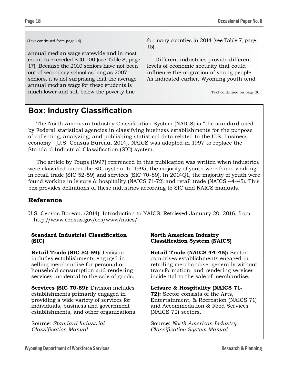(Text continued from page 16)

annual median wage statewide and in most counties exceeded \$20,000 (see Table 8, page 17). Because the 2010 seniors have not been out of secondary school as long as 2007 seniors, it is not surprising that the average annual median wage for these students is much lower and still below the poverty line

for many counties in 2014 (see Table 7, page 15).

Different industries provide different levels of economic security that could influence the migration of young people. As indicated earlier, Wyoming youth tend

(Text continued on page 20)

# **Box: Industry Classification**

The North American Industry Classification System (NAICS) is "the standard used by Federal statistical agencies in classifying business establishments for the purpose of collecting, analyzing, and publishing statistical data related to the U.S. business economy" (U.S. Census Bureau, 2014). NAICS was adopted in 1997 to replace the Standard Industrial Classification (SIC) system.

The article by Toups (1997) referenced in this publication was written when industries were classified under the SIC system. In 1995, the majority of youth were found working in retail trade (SIC 52-59) and services (SIC 70-89). In 2014Q1, the majority of youth were found working in leisure & hospitality (NAICS 71-72) and retail trade (NAICS 44-45). This box provides definitions of these industries according to SIC and NAICS manuals.

### **Reference**

U.S. Census Bureau. (2014). Introduction to NAICS. Retrieved January 20, 2016, from http://www.census.gov/eos/www/naics/

| <b>Standard Industrial Classification</b>      | <b>North American Industry</b>           |
|------------------------------------------------|------------------------------------------|
| (SIC)                                          | <b>Classification System (NAICS)</b>     |
| <b>Retail Trade (SIC 52-59):</b> Division      | Retail Trade (NAICS 44-45): Sector       |
| includes establishments engaged in             | comprises establishments engaged in      |
| selling merchandise for personal or            | retailing merchandise, generally without |
| household consumption and rendering            | transformation, and rendering services   |
| services incidental to the sale of goods.      | incidental to the sale of merchandise.   |
| <b>Services (SIC 70-89):</b> Division includes | Leisure & Hospitality (NAICS 71-         |
| establishments primarily engaged in            | <b>72):</b> Sector consists of the Arts, |
| providing a wide variety of services for       | Entertainment, & Recreation (NAICS 71)   |
| individuals, business and government           | and Accommodation & Food Services        |
| establishments, and other organizations.       | (NAICS 72) sectors.                      |
| Source: Standard Industrial                    | Source: North American Industry          |
| Classification Manual                          | Classification System Manual             |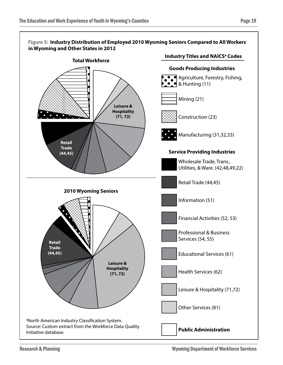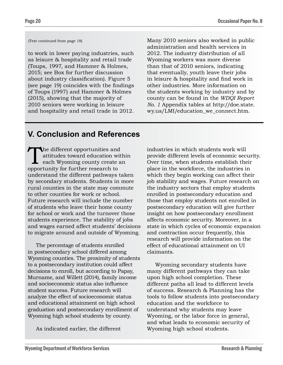(Text continued from page 18)

to work in lower paying industries, such as leisure & hospitality and retail trade (Toups, 1997, and Hammer & Holmes, 2015; see Box for further discussion about industry classification). Figure 5 (see page 19) coincides with the findings of Toups (1997) and Hammer & Holmes (2015), showing that the majority of 2010 seniors were working in leisure and hospitality and retail trade in 2012.

Many 2010 seniors also worked in public administration and health services in 2012. The industry distribution of all Wyoming workers was more diverse than that of 2010 seniors, indicating that eventually, youth leave their jobs in leisure & hospitality and find work in other industries. More information on the students working by industry and by county can be found in the *WDQI Report No. 1* Appendix tables at http://doe.state. wy.us/LMI/education\_we\_connect.htm.

# **V. Conclusion and References**

The different opportunities and<br>attitudes toward education wit<br>each Wyoming county create a<br>opportunity for further research to attitudes toward education within each Wyoming county create an opportunity for further research to understand the different pathways taken by secondary students. Students in more rural counties in the state may commute to other counties for work or school. Future research will include the number of students who leave their home county for school or work and the turnover those students experience. The stability of jobs and wages earned affect students' decisions to migrate around and outside of Wyoming.

The percentage of students enrolled in postsecondary school differed among Wyoming counties. The proximity of students to a postsecondary institution could affect decisions to enroll, but according to Papay, Murname, and Willett (2014), family income and socioeconomic status also influence student success. Future research will analyze the effect of socioeconomic status and educational attainment on high school graduation and postsecondary enrollment of Wyoming high school students by county.

As indicated earlier, the different

industries in which students work will provide different levels of economic security. Over time, when students establish their place in the workforce, the industries in which they begin working can affect their job stability and wages. Future research on the industry sectors that employ students enrolled in postsecondary education and those that employ students not enrolled in postsecondary education will give further insight on how postsecondary enrollment affects economic security. Moreover, in a state in which cycles of economic expansion and contraction occur frequently, this research will provide information on the effect of educational attainment on UI claimants.

Wyoming secondary students have many different pathways they can take upon high school completion. These different paths all lead to different levels of success. Research & Planning has the tools to follow students into postsecondary education and the workforce to understand why students may leave Wyoming, or the labor force in general, and what leads to economic security of Wyoming high school students.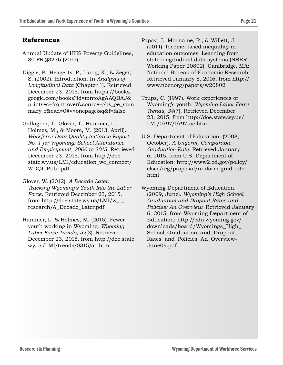### **References**

- Annual Update of HHS Poverty Guidelines, 80 FR §3236 (2015).
- Diggle, P., Heagerty, P., Liang, K., & Zeger, S. (2002). Introduction. In *Analysis of Longitudinal Data* (Chapter 1). Retrieved December 23, 2015, from https://books. google.com/books?id=mntoAgAAQBAJ& printsec=frontcover&source=gbs\_ge\_sum mary\_r&cad=0#v=onepage&q&f=false
- Gallagher, T., Glover, T., Hammer, L., Holmes, M., & Moore, M. (2013, April). *Workforce Data Quality Initiative Report No. 1 for Wyoming: School Attendance and Employment, 2006 to 2013*. Retrieved December 23, 2015, from http://doe. state.wy.us/LMI/education\_we\_connect/ WDQI\_Pub1.pdf
- Glover, W. (2012). *A Decade Later: Tracking Wyoming's Youth Into the Labor Force*. Retrieved December 23, 2015, from http://doe.state.wy.us/LMI/w\_r\_ research/A\_Decade\_Later.pdf
- Hammer, L. & Holmes, M. (2015). Fewer youth working in Wyoming. *Wyoming Labor Force Trends, 52*(3). Retrieved December 23, 2015, from http://doe.state. wy.us/LMI/trends/0315/a1.htm
- Papay, J., Murname, R., & Willett, J. (2014). Income-based inequality in education outcomes: Learning from state longitudinal data systems (NBER Working Paper 20802). Cambridge, MA: National Bureau of Economic Research. Retrieved January 8, 2016, from http:// www.nber.org/papers/w20802
- Toups, C. (1997). Work experiences of Wyoming's youth. *Wyoming Labor Force Trends, 34*(7). Retrieved December 23, 2015, from http://doe.state.wy.us/ LMI/0797/0797toc.htm
- U.S. Department of Education. (2008, October). *A Uniform, Comparable Graduation Rate*. Retrieved January 6, 2015, from U.S. Department of Education: http://www2.ed.gov/policy/ elsec/reg/proposal/uniform-grad-rate. html

Wyoming Department of Education. (2009, June). *Wyoming's High School Graduation and Dropout Rates and Policies: An Overview*. Retrieved January 6, 2015, from Wyoming Department of Education: http://edu.wyoming.gov/ downloads/board/Wyomings\_High\_ School\_Graduation\_and\_Dropout\_ Rates and Policies An Overview-June09.pdf